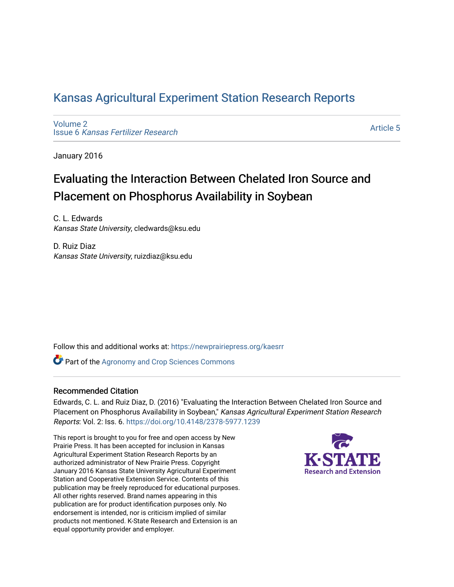## [Kansas Agricultural Experiment Station Research Reports](https://newprairiepress.org/kaesrr)

[Volume 2](https://newprairiepress.org/kaesrr/vol2) Issue 6 [Kansas Fertilizer Research](https://newprairiepress.org/kaesrr/vol2/iss6)

[Article 5](https://newprairiepress.org/kaesrr/vol2/iss6/5) 

January 2016

## Evaluating the Interaction Between Chelated Iron Source and Placement on Phosphorus Availability in Soybean

C. L. Edwards Kansas State University, cledwards@ksu.edu

D. Ruiz Diaz Kansas State University, ruizdiaz@ksu.edu

Follow this and additional works at: [https://newprairiepress.org/kaesrr](https://newprairiepress.org/kaesrr?utm_source=newprairiepress.org%2Fkaesrr%2Fvol2%2Fiss6%2F5&utm_medium=PDF&utm_campaign=PDFCoverPages) 

**Part of the Agronomy and Crop Sciences Commons** 

### Recommended Citation

Edwards, C. L. and Ruiz Diaz, D. (2016) "Evaluating the Interaction Between Chelated Iron Source and Placement on Phosphorus Availability in Soybean," Kansas Agricultural Experiment Station Research Reports: Vol. 2: Iss. 6.<https://doi.org/10.4148/2378-5977.1239>

This report is brought to you for free and open access by New Prairie Press. It has been accepted for inclusion in Kansas Agricultural Experiment Station Research Reports by an authorized administrator of New Prairie Press. Copyright January 2016 Kansas State University Agricultural Experiment Station and Cooperative Extension Service. Contents of this publication may be freely reproduced for educational purposes. All other rights reserved. Brand names appearing in this publication are for product identification purposes only. No endorsement is intended, nor is criticism implied of similar products not mentioned. K-State Research and Extension is an equal opportunity provider and employer.

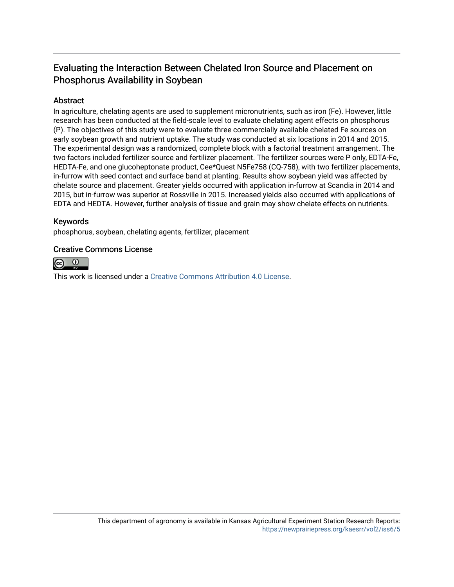## Evaluating the Interaction Between Chelated Iron Source and Placement on Phosphorus Availability in Soybean

### Abstract

In agriculture, chelating agents are used to supplement micronutrients, such as iron (Fe). However, little research has been conducted at the field-scale level to evaluate chelating agent effects on phosphorus (P). The objectives of this study were to evaluate three commercially available chelated Fe sources on early soybean growth and nutrient uptake. The study was conducted at six locations in 2014 and 2015. The experimental design was a randomized, complete block with a factorial treatment arrangement. The two factors included fertilizer source and fertilizer placement. The fertilizer sources were P only, EDTA-Fe, HEDTA-Fe, and one glucoheptonate product, Cee\*Quest N5Fe758 (CQ-758), with two fertilizer placements, in-furrow with seed contact and surface band at planting. Results show soybean yield was affected by chelate source and placement. Greater yields occurred with application in-furrow at Scandia in 2014 and 2015, but in-furrow was superior at Rossville in 2015. Increased yields also occurred with applications of EDTA and HEDTA. However, further analysis of tissue and grain may show chelate effects on nutrients.

### Keywords

phosphorus, soybean, chelating agents, fertilizer, placement

### Creative Commons License



This work is licensed under a [Creative Commons Attribution 4.0 License](https://creativecommons.org/licenses/by/4.0/).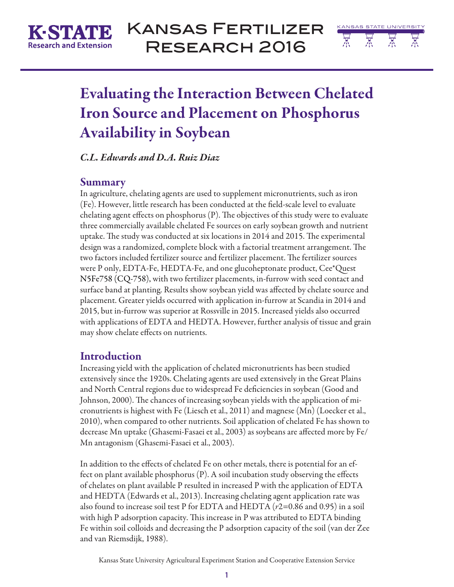

# Kansas Fertilizer Research 2016



# Evaluating the Interaction Between Chelated Iron Source and Placement on Phosphorus Availability in Soybean

*C.L. Edwards and D.A. Ruiz Diaz*

## Summary

In agriculture, chelating agents are used to supplement micronutrients, such as iron (Fe). However, little research has been conducted at the field-scale level to evaluate chelating agent effects on phosphorus (P). The objectives of this study were to evaluate three commercially available chelated Fe sources on early soybean growth and nutrient uptake. The study was conducted at six locations in 2014 and 2015. The experimental design was a randomized, complete block with a factorial treatment arrangement. The two factors included fertilizer source and fertilizer placement. The fertilizer sources were P only, EDTA-Fe, HEDTA-Fe, and one glucoheptonate product, Cee\*Quest N5Fe758 (CQ-758), with two fertilizer placements, in-furrow with seed contact and surface band at planting. Results show soybean yield was affected by chelate source and placement. Greater yields occurred with application in-furrow at Scandia in 2014 and 2015, but in-furrow was superior at Rossville in 2015. Increased yields also occurred with applications of EDTA and HEDTA. However, further analysis of tissue and grain may show chelate effects on nutrients.

## Introduction

Increasing yield with the application of chelated micronutrients has been studied extensively since the 1920s. Chelating agents are used extensively in the Great Plains and North Central regions due to widespread Fe deficiencies in soybean (Good and Johnson, 2000). The chances of increasing soybean yields with the application of micronutrients is highest with Fe (Liesch et al., 2011) and magnese (Mn) (Loecker et al., 2010), when compared to other nutrients. Soil application of chelated Fe has shown to decrease Mn uptake (Ghasemi-Fasaei et al., 2003) as soybeans are affected more by Fe/ Mn antagonism (Ghasemi-Fasaei et al., 2003).

In addition to the effects of chelated Fe on other metals, there is potential for an effect on plant available phosphorus (P). A soil incubation study observing the effects of chelates on plant available P resulted in increased P with the application of EDTA and HEDTA (Edwards et al., 2013). Increasing chelating agent application rate was also found to increase soil test P for EDTA and HEDTA (*r*2=0.86 and 0.95) in a soil with high P adsorption capacity. This increase in P was attributed to EDTA binding Fe within soil colloids and decreasing the P adsorption capacity of the soil (van der Zee and van Riemsdijk, 1988).

Kansas State University Agricultural Experiment Station and Cooperative Extension Service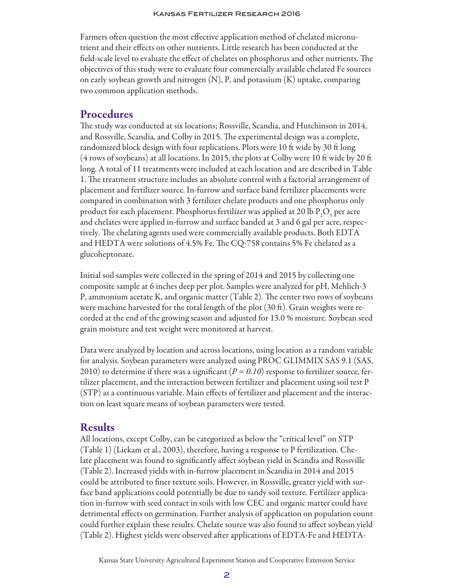Farmers often question the most effective application method of chelated micronutrient and their effects on other nutrients. Little research has been conducted at the field-scale level to evaluate the effect of chelates on phosphorus and other nutrients. The objectives of this study were to evaluate four commercially available chelated Fe sources on early soybean growth and nitrogen (N), P, and potassium (K) uptake, comparing two common application methods.

## Procedures

The study was conducted at six locations; Rossville, Scandia, and Hutchinson in 2014, and Rossville, Scandia, and Colby in 2015. The experimental design was a complete, randomized block design with four replications. Plots were 10 ft wide by 30 ft long (4 rows of soybeans) at all locations. In 2015, the plots at Colby were 10 ft wide by 20 ft long. A total of 11 treatments were included at each location and are described in Table 1. The treatment structure includes an absolute control with a factorial arrangement of placement and fertilizer source. In-furrow and surface band fertilizer placements were compared in combination with 3 fertilizer chelate products and one phosphorus only product for each placement. Phosphorus fertilizer was applied at 20 lb  $\rm P_2O_5$  per acre and chelates were applied in-furrow and surface banded at 3 and 6 gal per acre, respectively. The chelating agents used were commercially available products. Both EDTA and HEDTA were solutions of 4.5% Fe. The CQ-758 contains 5% Fe chelated as a glucoheptonate.

Initial soil samples were collected in the spring of 2014 and 2015 by collecting one composite sample at 6 inches deep per plot. Samples were analyzed for pH, Mehlich-3 P, ammonium acetate K, and organic matter (Table 2). The center two rows of soybeans were machine harvested for the total length of the plot  $(30 \text{ ft})$ . Grain weights were recorded at the end of the growing season and adjusted for 13.0 % moisture. Soybean seed grain moisture and test weight were monitored at harvest.

Data were analyzed by location and across locations, using location as a random variable for analysis. Soybean parameters were analyzed using PROC GLIMMIX SAS 9.1 (SAS, 2010) to determine if there was a significant  $(P = 0.10)$  response to fertilizer source, fertilizer placement, and the interaction between fertilizer and placement using soil test P (STP) as a continuous variable. Main effects of fertilizer and placement and the interaction on least square means of soybean parameters were tested.

## Results

All locations, except Colby, can be categorized as below the "critical level" on STP (Table 1) (Liekam et al., 2003), therefore, having a response to P fertilization. Chelate placement was found to significantly affect soybean yield in Scandia and Rossville (Table 2). Increased yields with in-furrow placement in Scandia in 2014 and 2015 could be attributed to finer texture soils. However, in Rossville, greater yield with surface band applications could potentially be due to sandy soil texture. Fertilizer application in-furrow with seed contact in soils with low CEC and organic matter could have detrimental effects on germination. Further analysis of application on population count could further explain these results. Chelate source was also found to affect soybean yield (Table 2). Highest yields were observed after applications of EDTA-Fe and HEDTA-

Kansas State University Agricultural Experiment Station and Cooperative Extension Service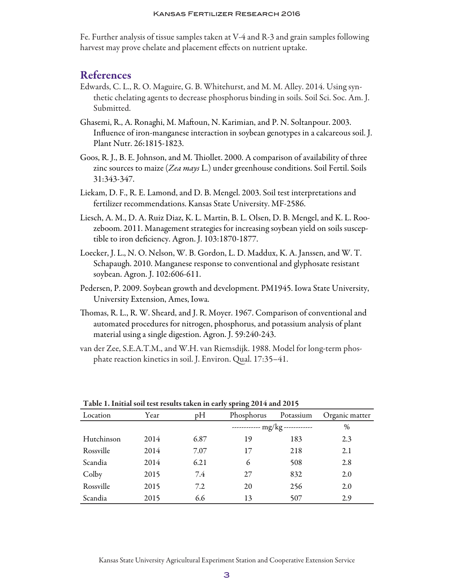#### Kansas Fertilizer Research 2016

Fe. Further analysis of tissue samples taken at V-4 and R-3 and grain samples following harvest may prove chelate and placement effects on nutrient uptake.

### **References**

- Edwards, C. L., R. O. Maguire, G. B. Whitehurst, and M. M. Alley. 2014. Using synthetic chelating agents to decrease phosphorus binding in soils. Soil Sci. Soc. Am. J. Submitted.
- Ghasemi, R., A. Ronaghi, M. Maftoun, N. Karimian, and P. N. Soltanpour. 2003. Influence of iron-manganese interaction in soybean genotypes in a calcareous soil. J. Plant Nutr. 26:1815-1823.
- Goos, R. J., B. E. Johnson, and M. Thiollet. 2000. A comparison of availability of three zinc sources to maize (*Zea mays* L.) under greenhouse conditions. Soil Fertil. Soils 31:343-347.
- Liekam, D. F., R. E. Lamond, and D. B. Mengel. 2003. Soil test interpretations and fertilizer recommendations. Kansas State University. MF-2586.
- Liesch, A. M., D. A. Ruiz Diaz, K. L. Martin, B. L. Olsen, D. B. Mengel, and K. L. Roozeboom. 2011. Management strategies for increasing soybean yield on soils susceptible to iron deficiency. Agron. J. 103:1870-1877.
- Loecker, J. L., N. O. Nelson, W. B. Gordon, L. D. Maddux, K. A. Janssen, and W. T. Schapaugh. 2010. Manganese response to conventional and glyphosate resistant soybean. Agron. J. 102:606-611.
- Pedersen, P. 2009. Soybean growth and development. PM1945. Iowa State University, University Extension, Ames, Iowa.
- Thomas, R. L., R. W. Sheard, and J. R. Moyer. 1967. Comparison of conventional and automated procedures for nitrogen, phosphorus, and potassium analysis of plant material using a single digestion. Agron. J. 59:240-243.
- van der Zee, S.E.A.T.M., and W.H. van Riemsdijk. 1988. Model for long-term phosphate reaction kinetics in soil. J. Environ. Qual. 17:35–41.

|            |      |      | $\sigma$                        |           |                |
|------------|------|------|---------------------------------|-----------|----------------|
| Location   | Year | pH   | Phosphorus                      | Potassium | Organic matter |
|            |      |      | ------------ mg/kg ------------ |           | $\%$           |
| Hutchinson | 2014 | 6.87 | 19                              | 183       | 2.3            |
| Rossville  | 2014 | 7.07 | 17                              | 218       | 2.1            |
| Scandia    | 2014 | 6.21 | 6                               | 508       | 2.8            |
| Colby      | 2015 | 7.4  | 27                              | 832       | 2.0            |
| Rossville  | 2015 | 7.2  | 20                              | 256       | 2.0            |
| Scandia    | 2015 | 6.6  | 13                              | 507       | 2.9            |

Table 1. Initial soil test results taken in early spring 2014 and 2015